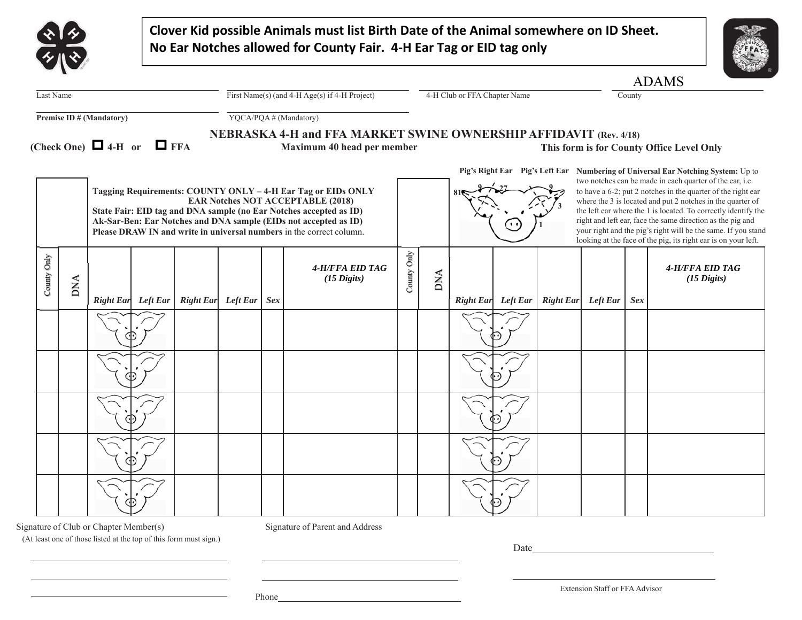|                                 |            |                                      |                                                                   |                    |                       |            | Clover Kid possible Animals must list Birth Date of the Animal somewhere on ID Sheet.<br>No Ear Notches allowed for County Fair. 4-H Ear Tag or EID tag only                                                                                                                                                               |                              |            |  |                    |                  |                 |            |                                                                                                                                                                                                                                                                                                                                                                                                                                                                                                                                               |
|---------------------------------|------------|--------------------------------------|-------------------------------------------------------------------|--------------------|-----------------------|------------|----------------------------------------------------------------------------------------------------------------------------------------------------------------------------------------------------------------------------------------------------------------------------------------------------------------------------|------------------------------|------------|--|--------------------|------------------|-----------------|------------|-----------------------------------------------------------------------------------------------------------------------------------------------------------------------------------------------------------------------------------------------------------------------------------------------------------------------------------------------------------------------------------------------------------------------------------------------------------------------------------------------------------------------------------------------|
|                                 |            |                                      |                                                                   |                    |                       |            |                                                                                                                                                                                                                                                                                                                            |                              |            |  |                    |                  |                 |            | <b>ADAMS</b>                                                                                                                                                                                                                                                                                                                                                                                                                                                                                                                                  |
| Last Name                       |            |                                      | First Name(s) (and $4-H \text{Age(s)}$ if $4-H \text{ Project}$ ) |                    |                       |            |                                                                                                                                                                                                                                                                                                                            | 4-H Club or FFA Chapter Name |            |  |                    | County           |                 |            |                                                                                                                                                                                                                                                                                                                                                                                                                                                                                                                                               |
| <b>Premise ID # (Mandatory)</b> |            |                                      |                                                                   |                    | YQCA/PQA# (Mandatory) |            |                                                                                                                                                                                                                                                                                                                            |                              |            |  |                    |                  |                 |            |                                                                                                                                                                                                                                                                                                                                                                                                                                                                                                                                               |
|                                 |            | (Check One) $\Box$ 4-H or $\Box$ FFA |                                                                   |                    |                       |            | NEBRASKA 4-H and FFA MARKET SWINE OWNERSHIP AFFIDAVIT (Rev. 4/18)<br>Maximum 40 head per member                                                                                                                                                                                                                            |                              |            |  |                    |                  |                 |            | This form is for County Office Level Only                                                                                                                                                                                                                                                                                                                                                                                                                                                                                                     |
|                                 |            |                                      |                                                                   |                    |                       |            | Tagging Requirements: COUNTY ONLY - 4-H Ear Tag or EIDs ONLY<br><b>EAR Notches NOT ACCEPTABLE (2018)</b><br>State Fair: EID tag and DNA sample (no Ear Notches accepted as ID)<br>Ak-Sar-Ben: Ear Notches and DNA sample (EIDs not accepted as ID)<br>Please DRAW IN and write in universal numbers in the correct column. |                              |            |  |                    |                  |                 |            | Pig's Right Ear Pig's Left Ear Numbering of Universal Ear Notching System: Up to<br>two notches can be made in each quarter of the ear, i.e.<br>to have a 6-2; put 2 notches in the quarter of the right ear<br>where the 3 is located and put 2 notches in the quarter of<br>the left ear where the 1 is located. To correctly identify the<br>right and left ear, face the same direction as the pig and<br>your right and the pig's right will be the same. If you stand<br>looking at the face of the pig, its right ear is on your left. |
| County Only                     | <b>DNA</b> | <b>Right Ear</b>                     | Left Ear                                                          | Right Ear Left Ear |                       | <b>Sex</b> | 4-H/FFA EID TAG<br>$(15 \text{ Digits})$                                                                                                                                                                                                                                                                                   | County Only                  | <b>DNA</b> |  | Right Ear Left Ear | <b>Right Ear</b> | <b>Left Ear</b> | <b>Sex</b> | 4-H/FFA EID TAG<br>$(15 \text{ Digits})$                                                                                                                                                                                                                                                                                                                                                                                                                                                                                                      |
|                                 |            |                                      |                                                                   |                    |                       |            |                                                                                                                                                                                                                                                                                                                            |                              |            |  |                    |                  |                 |            |                                                                                                                                                                                                                                                                                                                                                                                                                                                                                                                                               |
|                                 |            |                                      |                                                                   |                    |                       |            |                                                                                                                                                                                                                                                                                                                            |                              |            |  |                    |                  |                 |            |                                                                                                                                                                                                                                                                                                                                                                                                                                                                                                                                               |
|                                 |            |                                      |                                                                   |                    |                       |            |                                                                                                                                                                                                                                                                                                                            |                              |            |  |                    |                  |                 |            |                                                                                                                                                                                                                                                                                                                                                                                                                                                                                                                                               |
|                                 |            |                                      |                                                                   |                    |                       |            |                                                                                                                                                                                                                                                                                                                            |                              |            |  |                    |                  |                 |            |                                                                                                                                                                                                                                                                                                                                                                                                                                                                                                                                               |
|                                 |            |                                      |                                                                   |                    |                       |            |                                                                                                                                                                                                                                                                                                                            |                              |            |  |                    |                  |                 |            |                                                                                                                                                                                                                                                                                                                                                                                                                                                                                                                                               |

<u> 1989 - Johann Barbara, martin amerikan basar dan bagian dalam pengaran bagian dalam pengaran bagian dalam pe</u>

Signature of Club or Chapter Member(s) Signature of Parent and Address

(At least one of those listed at the top of this form must sign.)

Date

Extension Staff or FFA Advisor

Phone